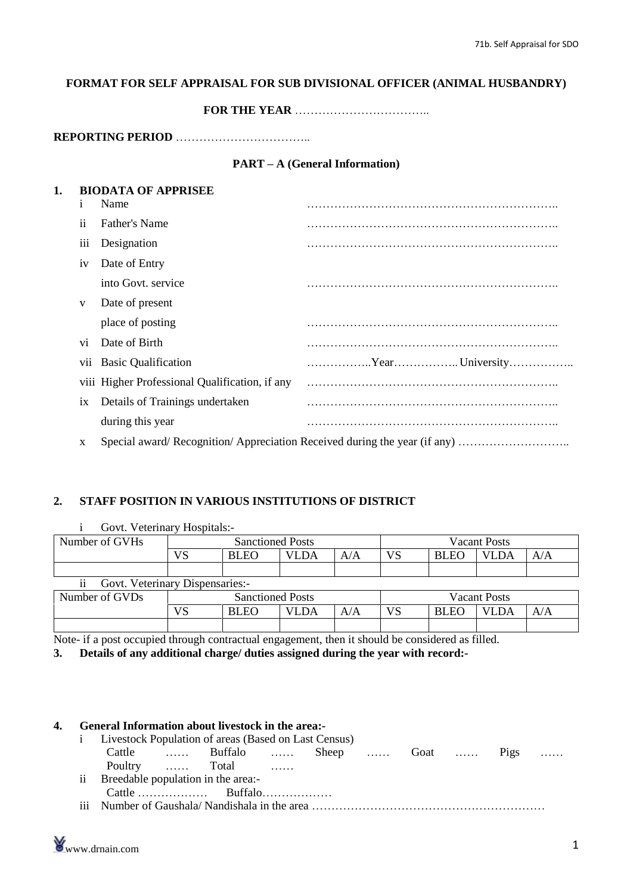# **FORMAT FOR SELF APPRAISAL FOR SUB DIVISIONAL OFFICER (ANIMAL HUSBANDRY)**<br>FOR THE YEAR  $\ldots$

**REPORTING PERIOD** ÖÖÖÖÖÖÖÖÖÖÖ..

#### **PART** – **A** (General **Information**)

| 1          | Name                                           |                                                                          |
|------------|------------------------------------------------|--------------------------------------------------------------------------|
| 11         | Father's Name                                  |                                                                          |
| iii        | Designation                                    |                                                                          |
| iv         | Date of Entry                                  |                                                                          |
|            | into Govt. service                             |                                                                          |
| V          | Date of present                                |                                                                          |
|            | place of posting                               |                                                                          |
| Vİ.        | Date of Birth                                  |                                                                          |
| <b>V11</b> | <b>Basic Qualification</b>                     |                                                                          |
|            | viii Higher Professional Qualification, if any |                                                                          |
| 1X         | Details of Trainings undertaken                |                                                                          |
|            | during this year                               |                                                                          |
| X          |                                                | Special award/Recognition/Appreciation Received during the year (if any) |

#### **2. STAFF POSITION IN VARIOUS INSTITUTIONS OF DISTRICT**

| Govt. Veterinary Hospitals:-                       |                         |                         |             |                     |                     |             |             |     |
|----------------------------------------------------|-------------------------|-------------------------|-------------|---------------------|---------------------|-------------|-------------|-----|
| Number of GVHs                                     | <b>Sanctioned Posts</b> |                         |             | <b>Vacant Posts</b> |                     |             |             |     |
|                                                    | <b>VS</b>               | <b>BLEO</b>             | <b>VLDA</b> | A/A                 | VS                  | <b>BLEO</b> | <b>VLDA</b> | A/A |
|                                                    |                         |                         |             |                     |                     |             |             |     |
| Govt. Veterinary Dispensaries:-<br>$\overline{11}$ |                         |                         |             |                     |                     |             |             |     |
| Number of GVDs                                     |                         | <b>Sanctioned Posts</b> |             |                     | <b>Vacant Posts</b> |             |             |     |
|                                                    | VS                      | <b>BLEO</b>             | <b>VLDA</b> | A/A                 | VS                  | <b>BLEO</b> | <b>VLDA</b> | A/A |
|                                                    |                         |                         |             |                     |                     |             |             |     |

Note- if a post occupied through contractual engagement, then it should be considered as filled.

**3. Details of any additional charge/ duties assigned during the year with record:-**

| $1 \quad$     |  | Livestock Population of areas (Based on Last Census) |  |  |  |   |
|---------------|--|------------------------------------------------------|--|--|--|---|
|               |  | Cattle  Buffalo  Sheep  Goat  Pigs                   |  |  |  | . |
|               |  | Poultry  Total                                       |  |  |  |   |
| $\mathbf{ii}$ |  | Breedable population in the area:-                   |  |  |  |   |
|               |  |                                                      |  |  |  |   |
|               |  |                                                      |  |  |  |   |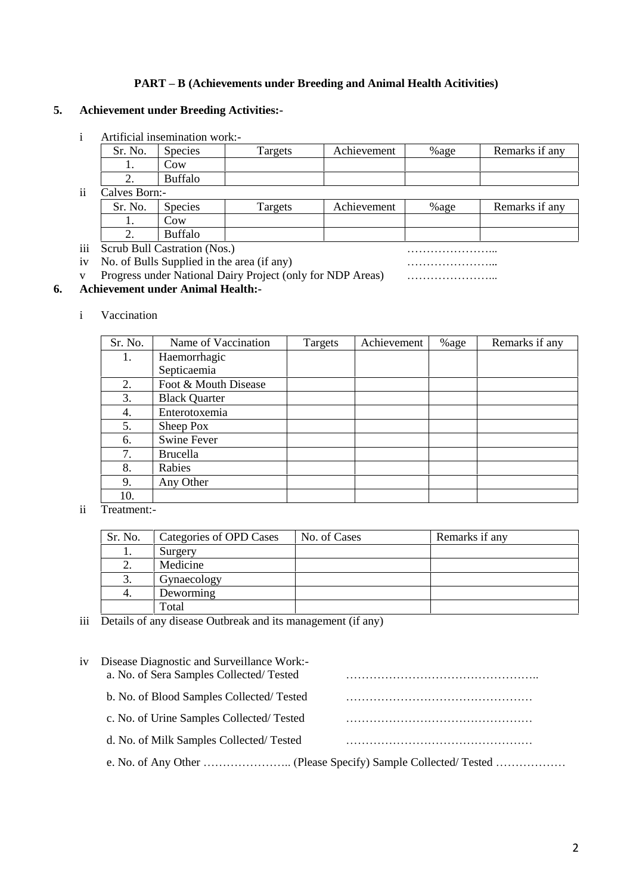#### **PART <sup>ñ</sup> <sup>B</sup> (Achievements under Breeding and Animal Health Acitivities)**

#### **5. Achievement under Breeding Activities:-**

|     |                                                         | Artificial insemination work:- |         |             |         |                |
|-----|---------------------------------------------------------|--------------------------------|---------|-------------|---------|----------------|
|     | Sr. No.                                                 | <b>Species</b>                 | Targets | Achievement | $%$ age | Remarks if any |
|     |                                                         | ĴОW                            |         |             |         |                |
|     |                                                         | <b>Buffalo</b>                 |         |             |         |                |
| tt. | $\bigcap_{n=1}$ $\bigcap_{n=1}^{n}$ $\bigcap_{n=1}^{n}$ |                                |         |             |         |                |

|     | Calves Born:- |                                            |         |             |         |                |  |  |
|-----|---------------|--------------------------------------------|---------|-------------|---------|----------------|--|--|
|     | Sr. No.       | <b>Species</b>                             | Targets | Achievement | $%$ age | Remarks if any |  |  |
|     |               | COW                                        |         |             |         |                |  |  |
|     |               | <b>Buffalo</b>                             |         |             |         |                |  |  |
| iii |               | Scrub Bull Castration (Nos.)               |         |             |         |                |  |  |
| iv  |               | No. of Bulls Supplied in the area (if any) |         |             |         |                |  |  |

v Progress under National Dairy Project (only for NDP Areas)<br>
v Progress under National Dairy Project (only for NDP Areas)

#### **6. Achievement under Animal Health:-**

i Vaccination

| Sr. No. | Name of Vaccination  | Targets | Achievement | %age | Remarks if any |
|---------|----------------------|---------|-------------|------|----------------|
| 1.      | Haemorrhagic         |         |             |      |                |
|         | Septicaemia          |         |             |      |                |
| 2.      | Foot & Mouth Disease |         |             |      |                |
| 3.      | <b>Black Quarter</b> |         |             |      |                |
| 4.      | Enterotoxemia        |         |             |      |                |
| 5.      | Sheep Pox            |         |             |      |                |
| 6.      | <b>Swine Fever</b>   |         |             |      |                |
| 7.      | Brucella             |         |             |      |                |
| 8.      | Rabies               |         |             |      |                |
| 9.      | Any Other            |         |             |      |                |
| 10.     |                      |         |             |      |                |

ii Treatment:-

| Sr. No. | Categories of OPD Cases | No. of Cases | Remarks if any |
|---------|-------------------------|--------------|----------------|
| 1.      | Surgery                 |              |                |
| 2.      | Medicine                |              |                |
| 3.      | Gynaecology             |              |                |
| 4.      | Deworming               |              |                |
|         | Total                   |              |                |

iii Details of any disease Outbreak and its management (if any)

| 1V | Disease Diagnostic and Surveillance Work:-<br>a. No. of Sera Samples Collected/Tested |  |
|----|---------------------------------------------------------------------------------------|--|
|    | b. No. of Blood Samples Collected/Tested                                              |  |
|    | c. No. of Urine Samples Collected/Tested                                              |  |
|    | d. No. of Milk Samples Collected/Tested                                               |  |
|    |                                                                                       |  |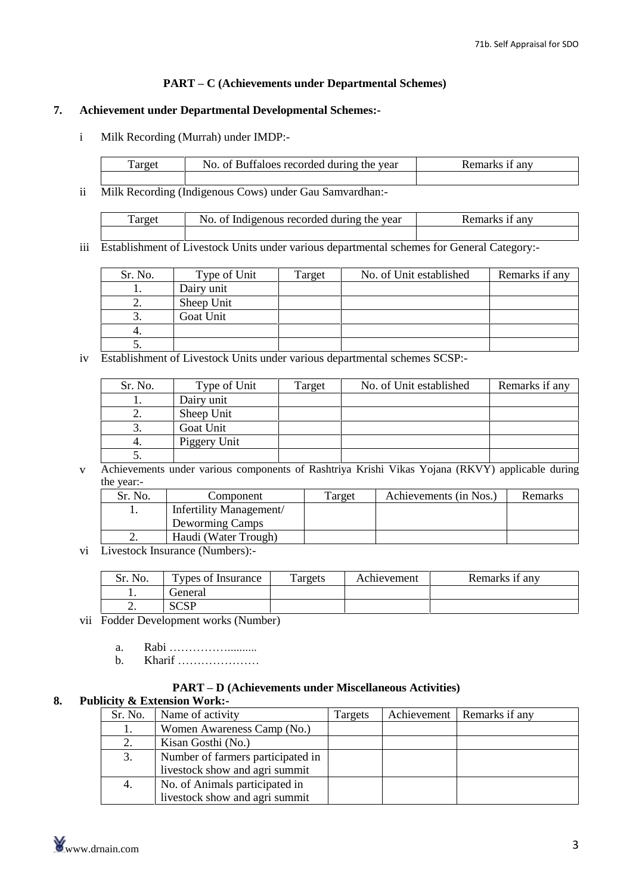#### **PART <sup>ñ</sup> <sup>C</sup> (Achievements under Departmental Schemes)**

#### **7. Achievement under Departmental Developmental Schemes:-**

i Milk Recording (Murrah) under IMDP:-

| l'arget | No. of Buffaloes recorded during the year | Remarks it any |
|---------|-------------------------------------------|----------------|
|         |                                           |                |

ii Milk Recording (Indigenous Cows) under Gau Samvardhan:-

| Target | No. of Indigenous recorded during the year | kemarks it anv |
|--------|--------------------------------------------|----------------|
|        |                                            |                |

iii Establishment of Livestock Units under various departmental schemes for General Category:-

| Sr. No. | Type of Unit | <b>Target</b> | No. of Unit established | Remarks if any |
|---------|--------------|---------------|-------------------------|----------------|
|         | Dairy unit   |               |                         |                |
| ـ.      | Sheep Unit   |               |                         |                |
|         | Goat Unit    |               |                         |                |
|         |              |               |                         |                |
|         |              |               |                         |                |

iv Establishment of Livestock Units under various departmental schemes SCSP:-

| Sr. No. | Type of Unit | Target | No. of Unit established | Remarks if any |
|---------|--------------|--------|-------------------------|----------------|
|         | Dairy unit   |        |                         |                |
| ـ.      | Sheep Unit   |        |                         |                |
|         | Goat Unit    |        |                         |                |
|         | Piggery Unit |        |                         |                |
|         |              |        |                         |                |

v Achievements under various components of Rashtriya Krishi Vikas Yojana (RKVY) applicable during the year:-

| Sr. No. | Component               | Target | Achievements (in Nos.) | Remarks |
|---------|-------------------------|--------|------------------------|---------|
|         | Infertility Management/ |        |                        |         |
|         | Deworming Camps         |        |                        |         |
| ٠.      | Haudi (Water Trough)    |        |                        |         |

vi Livestock Insurance (Numbers):-

| No.      | Types of Insurance | l'argets | Achievement | Remarks if any |
|----------|--------------------|----------|-------------|----------------|
| . .      | reneral            |          |             |                |
| <u>.</u> | c∩c⊓               |          |             |                |

vii Fodder Development works (Number) a. Rabi ÖÖÖÖÖ..........

- b. Kharif ÖÖÖÖÖÖÖ
- 

#### **PART <sup>ñ</sup> <sup>D</sup> (Achievements under Miscellaneous Activities)**

#### **8. Publicity & Extension Work:-**

| Women Awareness Camp (No.)<br>l.<br>Kisan Gosthi (No.)<br>2.<br>Number of farmers participated in<br>3.<br>livestock show and agri summit<br>No. of Animals participated in<br>4.<br>livestock show and agri summit | Sr. No.        | Name of activity | Targets | Achievement | Remarks if any |
|---------------------------------------------------------------------------------------------------------------------------------------------------------------------------------------------------------------------|----------------|------------------|---------|-------------|----------------|
|                                                                                                                                                                                                                     |                |                  |         |             |                |
|                                                                                                                                                                                                                     |                |                  |         |             |                |
|                                                                                                                                                                                                                     |                |                  |         |             |                |
|                                                                                                                                                                                                                     |                |                  |         |             |                |
|                                                                                                                                                                                                                     |                |                  |         |             |                |
|                                                                                                                                                                                                                     |                |                  |         |             |                |
|                                                                                                                                                                                                                     |                |                  |         |             |                |
|                                                                                                                                                                                                                     | www.drnain.com |                  |         |             | 3              |
|                                                                                                                                                                                                                     |                |                  |         |             |                |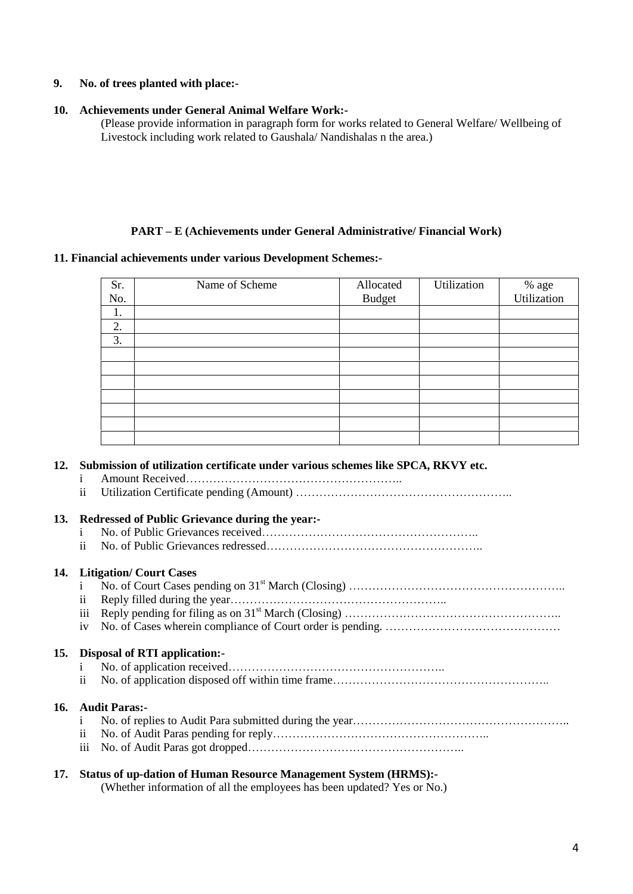#### **9. No. of trees planted with place:-**

#### **10. Achievements under General Animal Welfare Work:-**

(Please provide information in paragraph form for works related to General Welfare/ Wellbeing of Livestock including work related to Gaushala/ Nandishalas n the area.)

#### **PART <sup>ñ</sup> <sup>E</sup> (Achievements under General Administrative/ Financial Work)**

#### **11. Financial achievements under various Development Schemes:-**

| Sr. | Name of Scheme | Allocated     | Utilization | % age<br>Utilization |
|-----|----------------|---------------|-------------|----------------------|
| No. |                | <b>Budget</b> |             |                      |
| 1.  |                |               |             |                      |
| 2.  |                |               |             |                      |
| 3.  |                |               |             |                      |
|     |                |               |             |                      |
|     |                |               |             |                      |
|     |                |               |             |                      |
|     |                |               |             |                      |
|     |                |               |             |                      |
|     |                |               |             |                      |
|     |                |               |             |                      |

## **12. Submission of utilization certificate under various schemes like SPCA, RKVY etc.** <sup>i</sup> Amount ReceivedÖÖÖÖÖÖÖÖÖÖÖÖÖÖÖÖÖÖ..

- ii Utilization Certificate pending (Amount) ÖÖÖÖÖÖÖÖÖÖÖÖÖÖÖÖÖÖ..
- 

### **13. Redressed of Public Grievance during the year:-**

- <sup>i</sup> No. of Public Grievances receivedÖÖÖÖÖÖÖÖÖÖÖÖÖÖÖÖÖÖ.. ii No. of Public Grievances redressedÖÖÖÖÖÖÖÖÖÖÖÖÖÖÖÖÖÖ..
- 

#### **14. Litigation/ Court Cases**

| <b>Litigation/Court Cases</b> |
|-------------------------------|
|                               |
|                               |
|                               |
|                               |

#### **15. Disposal of RTI application:-**

- <sup>i</sup> No. of application receivedÖÖÖÖÖÖÖÖÖÖÖÖÖÖÖÖÖÖ..
- ii No. of application disposed off within time frameÖÖÖÖÖÖÖÖÖÖÖÖÖÖÖÖÖÖ..

#### **16. Audit Paras:-**

- <sup>i</sup> No. of replies to Audit Para submitted during the yearÖÖÖÖÖÖÖÖÖÖÖÖÖÖÖÖÖÖ.. ii No. of Audit Paras pending for replyÖÖÖÖÖÖÖÖÖÖÖÖÖÖÖÖÖÖ.. iii No. of Audit Paras got droppedÖÖÖÖÖÖÖÖÖÖÖÖÖÖÖÖÖÖ..
	-
- 

#### **17. Status of up-dation of Human Resource Management System (HRMS):-**

(Whether information of all the employees has been updated? Yes or No.)